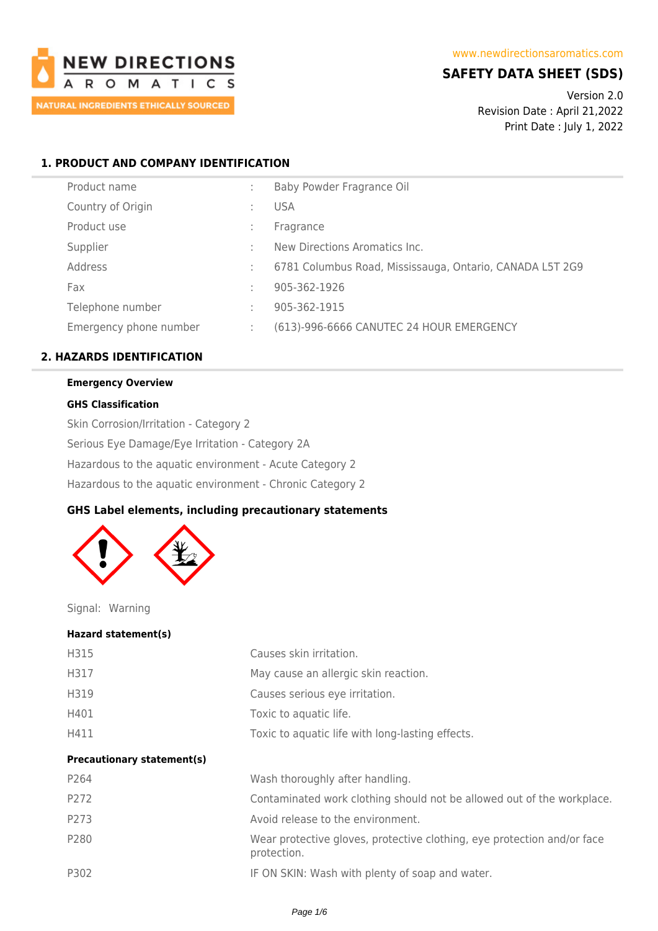

# **SAFETY DATA SHEET (SDS)**

Version 2.0 Revision Date : April 21,2022 Print Date : July 1, 2022

# **1. PRODUCT AND COMPANY IDENTIFICATION**

| Product name           |   | Baby Powder Fragrance Oil                                |
|------------------------|---|----------------------------------------------------------|
| Country of Origin      |   | <b>USA</b>                                               |
| Product use            |   | Fragrance                                                |
| Supplier               |   | New Directions Aromatics Inc.                            |
| Address                |   | 6781 Columbus Road, Mississauga, Ontario, CANADA L5T 2G9 |
| Fax                    |   | 905-362-1926                                             |
| Telephone number       |   | 905-362-1915                                             |
| Emergency phone number | ÷ | (613)-996-6666 CANUTEC 24 HOUR EMERGENCY                 |
|                        |   |                                                          |

# **2. HAZARDS IDENTIFICATION**

# **Emergency Overview**

### **GHS Classification**

Skin Corrosion/Irritation - Category 2 Serious Eye Damage/Eye Irritation - Category 2A Hazardous to the aquatic environment - Acute Category 2 Hazardous to the aquatic environment - Chronic Category 2

### **GHS Label elements, including precautionary statements**



Signal: Warning

#### **Hazard statement(s)**

| H315                              | Causes skin irritation.                                                                |
|-----------------------------------|----------------------------------------------------------------------------------------|
| H317                              | May cause an allergic skin reaction.                                                   |
| H319                              | Causes serious eye irritation.                                                         |
| H401                              | Toxic to aquatic life.                                                                 |
| H411                              | Toxic to aquatic life with long-lasting effects.                                       |
| <b>Precautionary statement(s)</b> |                                                                                        |
| P264                              | Wash thoroughly after handling.                                                        |
| P272                              | Contaminated work clothing should not be allowed out of the workplace.                 |
| P273                              | Avoid release to the environment.                                                      |
| P280                              | Wear protective gloves, protective clothing, eye protection and/or face<br>protection. |
| P302                              | IF ON SKIN: Wash with plenty of soap and water.                                        |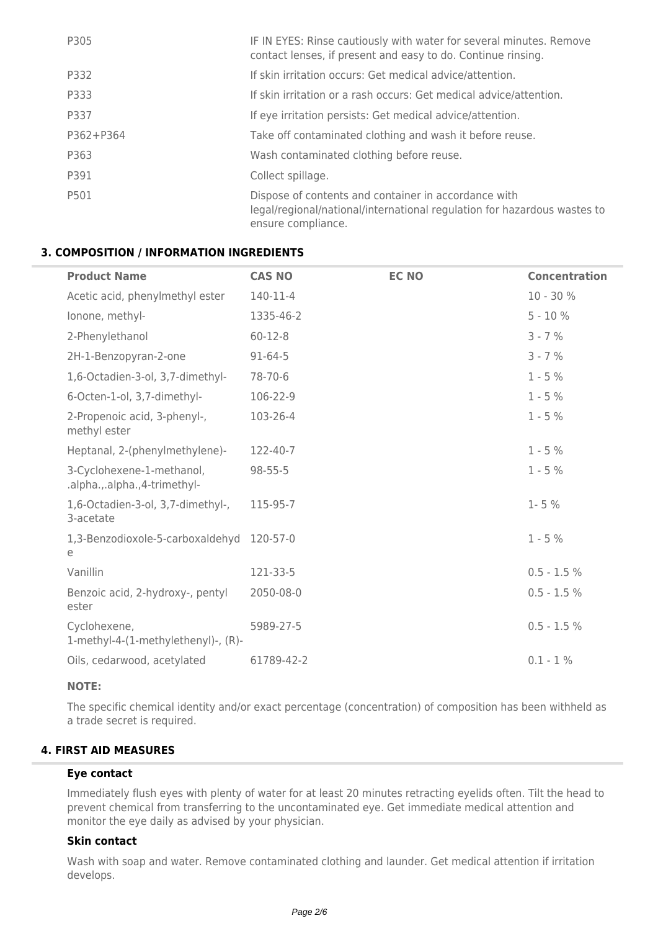| P305      | IF IN EYES: Rinse cautiously with water for several minutes. Remove<br>contact lenses, if present and easy to do. Continue rinsing.                    |
|-----------|--------------------------------------------------------------------------------------------------------------------------------------------------------|
| P332      | If skin irritation occurs: Get medical advice/attention.                                                                                               |
| P333      | If skin irritation or a rash occurs: Get medical advice/attention.                                                                                     |
| P337      | If eye irritation persists: Get medical advice/attention.                                                                                              |
| P362+P364 | Take off contaminated clothing and wash it before reuse.                                                                                               |
| P363      | Wash contaminated clothing before reuse.                                                                                                               |
| P391      | Collect spillage.                                                                                                                                      |
| P501      | Dispose of contents and container in accordance with<br>legal/regional/national/international regulation for hazardous wastes to<br>ensure compliance. |

### **3. COMPOSITION / INFORMATION INGREDIENTS**

| <b>Product Name</b>                                       | <b>CAS NO</b> | <b>EC NO</b> | <b>Concentration</b> |
|-----------------------------------------------------------|---------------|--------------|----------------------|
| Acetic acid, phenylmethyl ester                           | 140-11-4      |              | 10 - 30 %            |
| lonone, methyl-                                           | 1335-46-2     |              | $5 - 10%$            |
| 2-Phenylethanol                                           | $60 - 12 - 8$ |              | $3 - 7 %$            |
| 2H-1-Benzopyran-2-one                                     | $91 - 64 - 5$ |              | $3 - 7 %$            |
| 1,6-Octadien-3-ol, 3,7-dimethyl-                          | 78-70-6       |              | $1 - 5%$             |
| 6-Octen-1-ol, 3,7-dimethyl-                               | 106-22-9      |              | $1 - 5%$             |
| 2-Propenoic acid, 3-phenyl-,<br>methyl ester              | 103-26-4      |              | $1 - 5%$             |
| Heptanal, 2-(phenylmethylene)-                            | 122-40-7      |              | $1 - 5%$             |
| 3-Cyclohexene-1-methanol,<br>.alpha.,.alpha.,4-trimethyl- | $98 - 55 - 5$ |              | $1 - 5%$             |
| 1,6-Octadien-3-ol, 3,7-dimethyl-,<br>3-acetate            | 115-95-7      |              | $1 - 5%$             |
| 1,3-Benzodioxole-5-carboxaldehyd<br>e                     | 120-57-0      |              | $1 - 5%$             |
| Vanillin                                                  | 121-33-5      |              | $0.5 - 1.5 %$        |
| Benzoic acid, 2-hydroxy-, pentyl<br>ester                 | 2050-08-0     |              | $0.5 - 1.5 \%$       |
| Cyclohexene,<br>1-methyl-4-(1-methylethenyl)-, (R)-       | 5989-27-5     |              | $0.5 - 1.5 %$        |
| Oils, cedarwood, acetylated                               | 61789-42-2    |              | $0.1 - 1\%$          |

### **NOTE:**

The specific chemical identity and/or exact percentage (concentration) of composition has been withheld as a trade secret is required.

# **4. FIRST AID MEASURES**

# **Eye contact**

Immediately flush eyes with plenty of water for at least 20 minutes retracting eyelids often. Tilt the head to prevent chemical from transferring to the uncontaminated eye. Get immediate medical attention and monitor the eye daily as advised by your physician.

### **Skin contact**

Wash with soap and water. Remove contaminated clothing and launder. Get medical attention if irritation develops.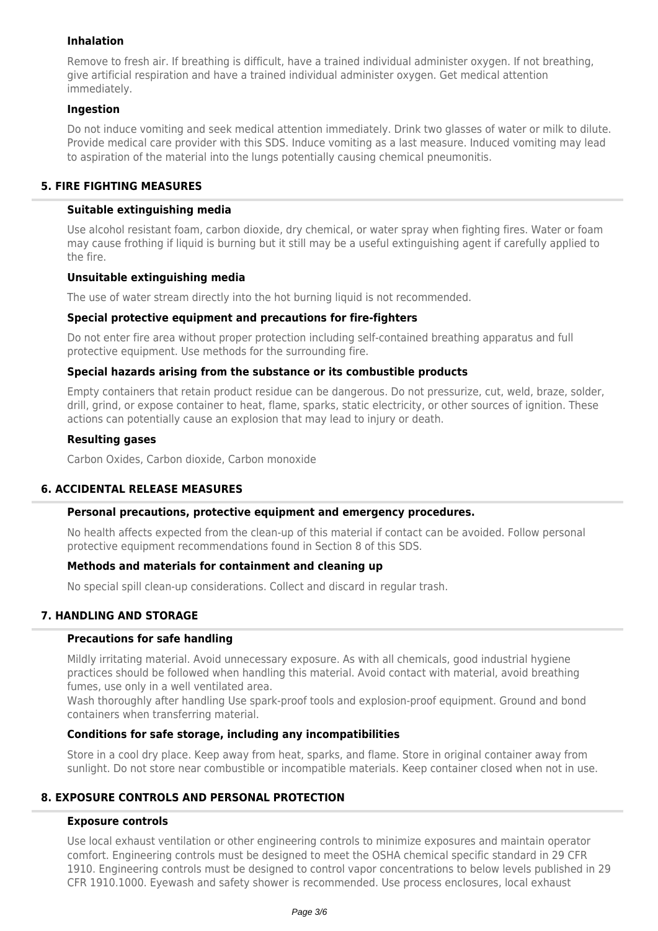### **Inhalation**

Remove to fresh air. If breathing is difficult, have a trained individual administer oxygen. If not breathing, give artificial respiration and have a trained individual administer oxygen. Get medical attention immediately.

### **Ingestion**

Do not induce vomiting and seek medical attention immediately. Drink two glasses of water or milk to dilute. Provide medical care provider with this SDS. Induce vomiting as a last measure. Induced vomiting may lead to aspiration of the material into the lungs potentially causing chemical pneumonitis.

### **5. FIRE FIGHTING MEASURES**

### **Suitable extinguishing media**

Use alcohol resistant foam, carbon dioxide, dry chemical, or water spray when fighting fires. Water or foam may cause frothing if liquid is burning but it still may be a useful extinguishing agent if carefully applied to the fire.

### **Unsuitable extinguishing media**

The use of water stream directly into the hot burning liquid is not recommended.

### **Special protective equipment and precautions for fire-fighters**

Do not enter fire area without proper protection including self-contained breathing apparatus and full protective equipment. Use methods for the surrounding fire.

### **Special hazards arising from the substance or its combustible products**

Empty containers that retain product residue can be dangerous. Do not pressurize, cut, weld, braze, solder, drill, grind, or expose container to heat, flame, sparks, static electricity, or other sources of ignition. These actions can potentially cause an explosion that may lead to injury or death.

### **Resulting gases**

Carbon Oxides, Carbon dioxide, Carbon monoxide

### **6. ACCIDENTAL RELEASE MEASURES**

### **Personal precautions, protective equipment and emergency procedures.**

No health affects expected from the clean-up of this material if contact can be avoided. Follow personal protective equipment recommendations found in Section 8 of this SDS.

### **Methods and materials for containment and cleaning up**

No special spill clean-up considerations. Collect and discard in regular trash.

# **7. HANDLING AND STORAGE**

### **Precautions for safe handling**

Mildly irritating material. Avoid unnecessary exposure. As with all chemicals, good industrial hygiene practices should be followed when handling this material. Avoid contact with material, avoid breathing fumes, use only in a well ventilated area.

Wash thoroughly after handling Use spark-proof tools and explosion-proof equipment. Ground and bond containers when transferring material.

### **Conditions for safe storage, including any incompatibilities**

Store in a cool dry place. Keep away from heat, sparks, and flame. Store in original container away from sunlight. Do not store near combustible or incompatible materials. Keep container closed when not in use.

# **8. EXPOSURE CONTROLS AND PERSONAL PROTECTION**

### **Exposure controls**

Use local exhaust ventilation or other engineering controls to minimize exposures and maintain operator comfort. Engineering controls must be designed to meet the OSHA chemical specific standard in 29 CFR 1910. Engineering controls must be designed to control vapor concentrations to below levels published in 29 CFR 1910.1000. Eyewash and safety shower is recommended. Use process enclosures, local exhaust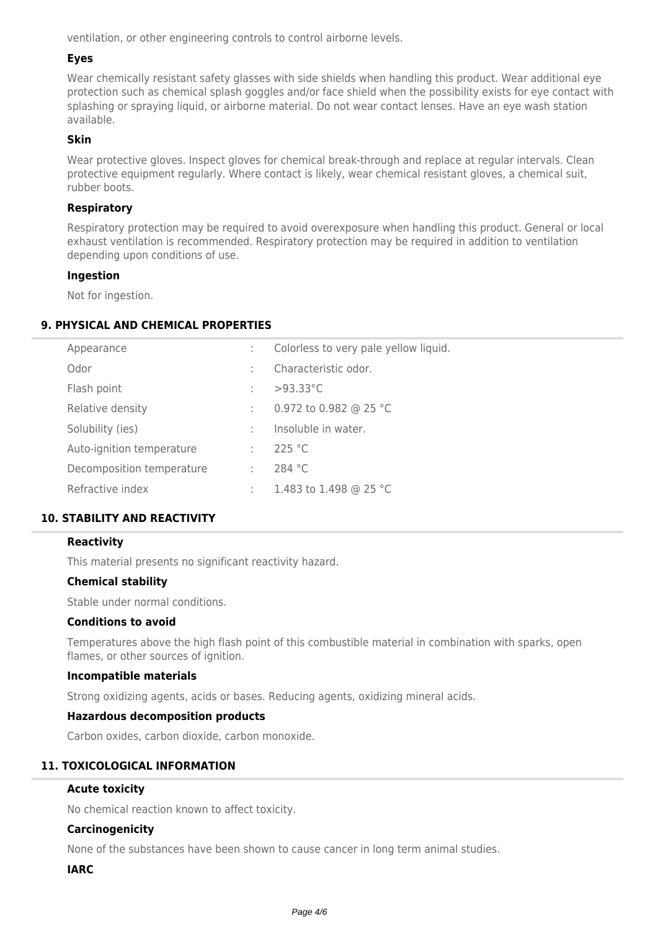ventilation, or other engineering controls to control airborne levels.

### **Eyes**

Wear chemically resistant safety glasses with side shields when handling this product. Wear additional eye protection such as chemical splash goggles and/or face shield when the possibility exists for eye contact with splashing or spraying liquid, or airborne material. Do not wear contact lenses. Have an eye wash station available.

#### **Skin**

Wear protective gloves. Inspect gloves for chemical break-through and replace at regular intervals. Clean protective equipment regularly. Where contact is likely, wear chemical resistant gloves, a chemical suit, rubber boots.

### **Respiratory**

Respiratory protection may be required to avoid overexposure when handling this product. General or local exhaust ventilation is recommended. Respiratory protection may be required in addition to ventilation depending upon conditions of use.

#### **Ingestion**

Not for ingestion.

### **9. PHYSICAL AND CHEMICAL PROPERTIES**

| Appearance                |   | Colorless to very pale yellow liquid. |
|---------------------------|---|---------------------------------------|
| Odor                      |   | Characteristic odor.                  |
| Flash point               |   | $>93.33^{\circ}$ C                    |
| Relative density          | ÷ | 0.972 to 0.982 @ 25 °C                |
| Solubility (ies)          |   | Insoluble in water.                   |
| Auto-ignition temperature | ÷ | 225 °C                                |
| Decomposition temperature | ÷ | 284 $°C$                              |
| Refractive index          | ÷ | 1.483 to 1.498 @ 25 °C                |
|                           |   |                                       |

### **10. STABILITY AND REACTIVITY**

### **Reactivity**

This material presents no significant reactivity hazard.

### **Chemical stability**

Stable under normal conditions.

#### **Conditions to avoid**

Temperatures above the high flash point of this combustible material in combination with sparks, open flames, or other sources of ignition.

#### **Incompatible materials**

Strong oxidizing agents, acids or bases. Reducing agents, oxidizing mineral acids.

### **Hazardous decomposition products**

Carbon oxides, carbon dioxide, carbon monoxide.

### **11. TOXICOLOGICAL INFORMATION**

### **Acute toxicity**

No chemical reaction known to affect toxicity.

### **Carcinogenicity**

None of the substances have been shown to cause cancer in long term animal studies.

### **IARC**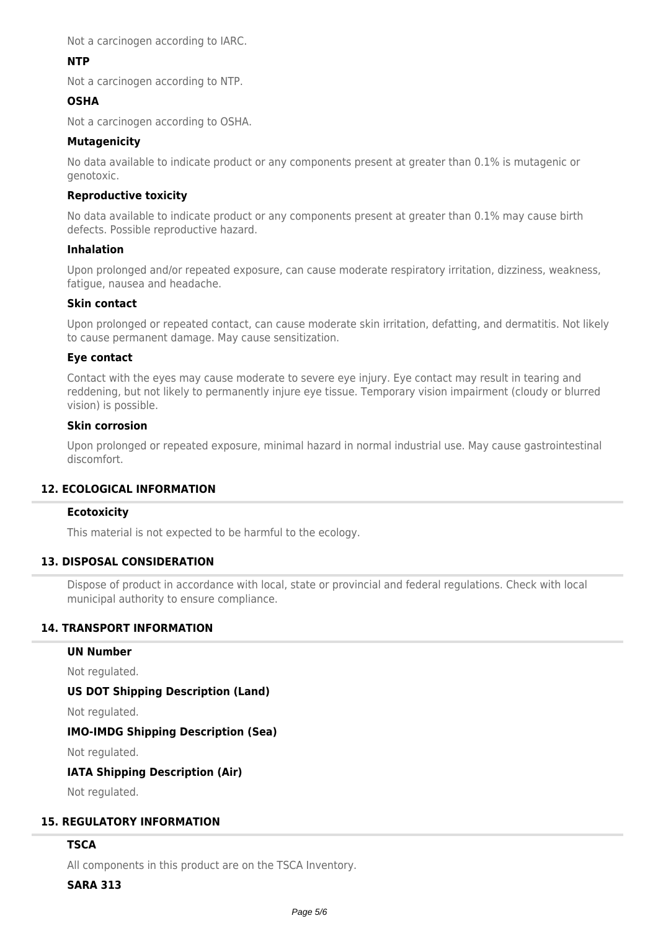Not a carcinogen according to IARC.

### **NTP**

Not a carcinogen according to NTP.

### **OSHA**

Not a carcinogen according to OSHA.

### **Mutagenicity**

No data available to indicate product or any components present at greater than 0.1% is mutagenic or genotoxic.

### **Reproductive toxicity**

No data available to indicate product or any components present at greater than 0.1% may cause birth defects. Possible reproductive hazard.

### **Inhalation**

Upon prolonged and/or repeated exposure, can cause moderate respiratory irritation, dizziness, weakness, fatigue, nausea and headache.

### **Skin contact**

Upon prolonged or repeated contact, can cause moderate skin irritation, defatting, and dermatitis. Not likely to cause permanent damage. May cause sensitization.

### **Eye contact**

Contact with the eyes may cause moderate to severe eye injury. Eye contact may result in tearing and reddening, but not likely to permanently injure eye tissue. Temporary vision impairment (cloudy or blurred vision) is possible.

### **Skin corrosion**

Upon prolonged or repeated exposure, minimal hazard in normal industrial use. May cause gastrointestinal discomfort.

### **12. ECOLOGICAL INFORMATION**

### **Ecotoxicity**

This material is not expected to be harmful to the ecology.

### **13. DISPOSAL CONSIDERATION**

Dispose of product in accordance with local, state or provincial and federal regulations. Check with local municipal authority to ensure compliance.

### **14. TRANSPORT INFORMATION**

### **UN Number**

Not regulated.

### **US DOT Shipping Description (Land)**

Not regulated.

### **IMO-IMDG Shipping Description (Sea)**

Not regulated.

### **IATA Shipping Description (Air)**

Not regulated.

### **15. REGULATORY INFORMATION**

### **TSCA**

All components in this product are on the TSCA Inventory.

#### **SARA 313**